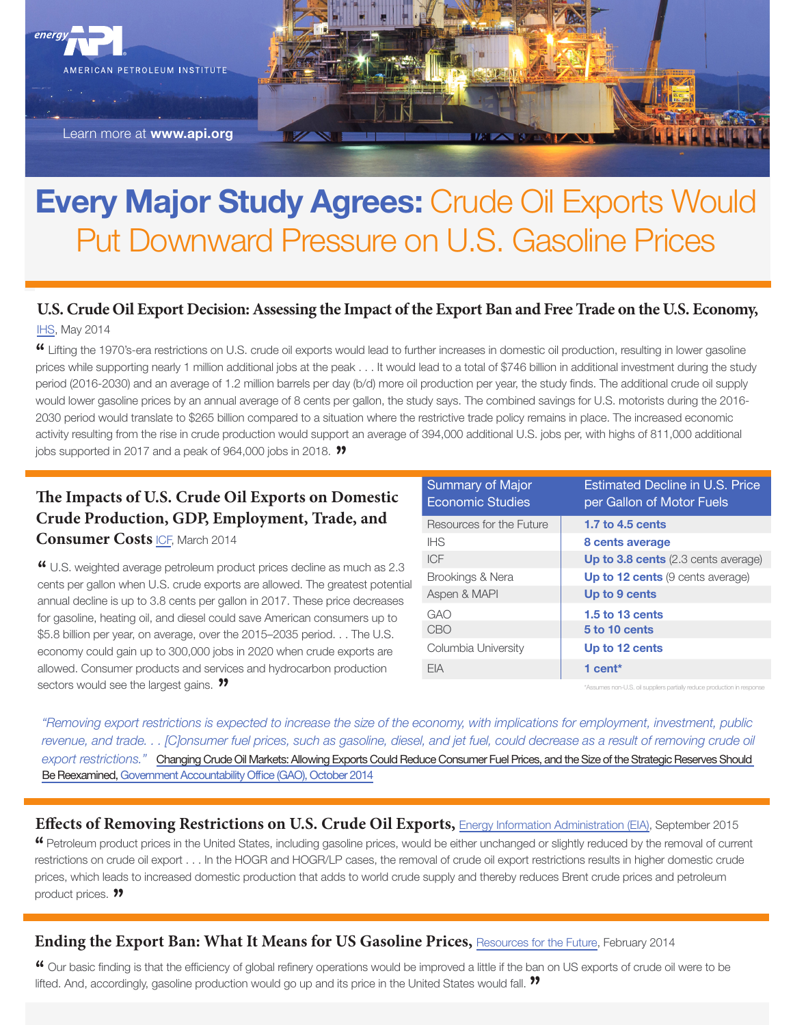

Learn more at [www.api.org](http://www.api.org/)

## Every Major Study Agrees: Crude Oil Exports Would Put Downward Pressure on U.S. Gasoline Prices

## **[U.S](http://press.ihs.com/press-release/energy-power/lifting-export-restrictions-us-crude-oil-would-lower-gasoline-prices-an-0). Crude Oil Export Decision: Assessing the Impact of the Export Ban and Free Trade on the U.S. Economy,**

IHS, May 2014

**"** Lifting the 1970's-era restrictions on U.S. crude oil exports would lead to further increases in domestic oil production, resulting in lower gasoline prices while supporting nearly 1 million additional jobs at the peak . . . It would lead to a total of \$746 billion in additional investment during the study period (2016-2030) and an average of 1.2 million barrels per day (b/d) more oil production per year, the study finds. The additional crude oil supply would lower gasoline prices by an annual average of 8 cents per gallon, the study says. The combined savings for U.S. motorists during the 2016- 2030 period would translate to \$265 billion compared to a situation where the restrictive trade policy remains in place. The increased economic activity resulting from the rise in crude production would support an average of 394,000 additional U.S. jobs per, with highs of 811,000 additional jobs supported in 2017 and a peak of 964,000 jobs in 2018. **"**

## **The Impacts of U.S. Crude Oil Exports on Domestic Crude Productio[n,](http://www.api.org/news-and-media/news/newsitems/2014/mar-2014/~/media/Files/Policy/LNG-Exports/LNG-primer/API-Crude-Exports-Study-by-ICF-3-31-2014.pdf) GDP, Employment, Trade, and**

**Consumer Costs** ICF, March 2014

**"** U.S. weighted average petroleum product prices decline as much as 2.3 cents per gallon when U.S. crude exports are allowed. The greatest potential annual decline is up to 3.8 cents per gallon in 2017. These price decreases for gasoline, heating oil, and diesel could save American consumers up to \$5.8 billion per year, on average, over the 2015–2035 period. . . The U.S. economy could gain up to 300,000 jobs in 2020 when crude exports are allowed. Consumer products and services and hydrocarbon production sectors would see the largest gains. **"**

| <b>Summary of Major</b><br><b>Economic Studies</b> | <b>Estimated Decline in U.S. Price</b><br>per Gallon of Motor Fuels |
|----------------------------------------------------|---------------------------------------------------------------------|
| Resources for the Future                           | 1.7 to 4.5 cents                                                    |
| <b>IHS</b>                                         | 8 cents average                                                     |
| ICF                                                | Up to 3.8 cents (2.3 cents average)                                 |
| Brookings & Nera                                   | <b>Up to 12 cents</b> (9 cents average)                             |
| Aspen & MAPI                                       | Up to 9 cents                                                       |
| GAO                                                | 1.5 to 13 cents                                                     |
| CBO                                                | 5 to 10 cents                                                       |
| Columbia University                                | Up to 12 cents                                                      |
| FIA                                                | 1 cent $*$                                                          |

ssumes non-U.S. oil suppliers partially reduce production in

*"Removing export restrictions is expected to increase the size of the economy, with implications for employment, investment, public revenue, and trade. . . [C]onsumer fuel prices, such as gasoline, diesel, and jet fuel, could decrease as a result of removing crude oil export restrictions."* [Changing Crude Oil Markets: Allowing Exports Could Reduce Consumer Fuel Prices, and the Size of the Strategic Reserves Should](http://www.gao.gov/products/GAO-14-807)  [Be Reexamined, Government Accountability Office \(GAO\), October 2014](http://www.gao.gov/products/GAO-14-807)

**"** Petroleum product prices in the United States, including gasoline prices, would be either unchanged or slightly reduced by the removal of current restrictions on crude oil export . . . In the HOGR and HOGR/LP cases, the removal of crude oil export restrictions results in higher domestic crude prices, which leads to increased domestic production that adds to world crude supply and thereby reduces Brent crude prices and petroleum product prices. ?? **Effects of Removing Restrictions on U.S. Crude Oil Exports, [Energy Information Administration \(EIA\)](http://www.eia.gov/analysis/requests/crude-exports/pdf/fullreport.pdf), September 2015** 

### **Ending the Export Ban: What It Means for US Gasoline Prices, [Resources for the Future,](http://common-resources.org/2014/ending-the-export-ban-what-it-means-for-us-gasoline-prices/) February 2014**

**"** Our basic finding is that the efficiency of global refinery operations would be improved a little if the ban on US exports of crude oil were to be lifted. And, accordingly, gasoline production would go up and its price in the United States would fall. **"**